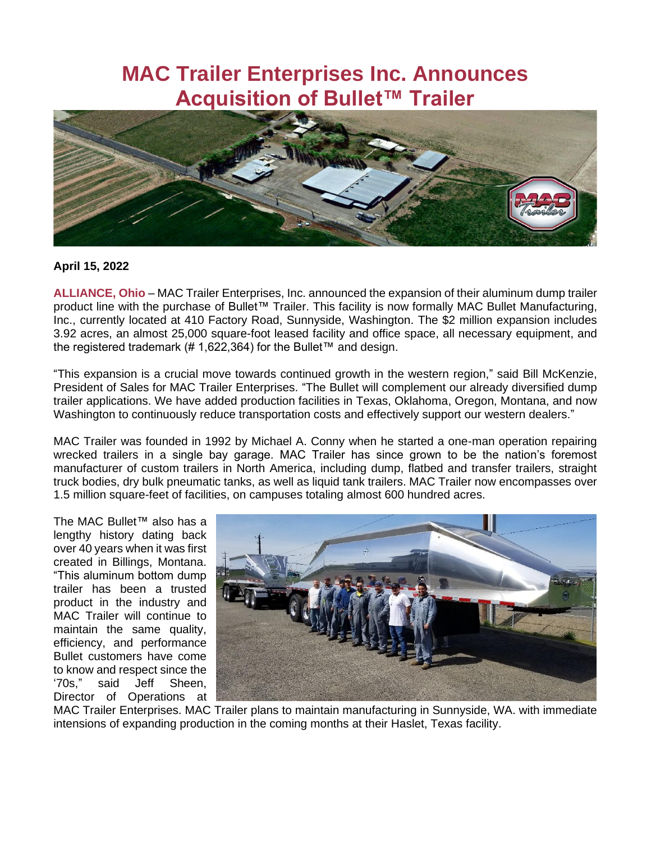## **MAC Trailer Enterprises Inc. Announces Acquisition of Bullet™ Trailer**



## **April 15, 2022**

**ALLIANCE, Ohio** – MAC Trailer Enterprises, Inc. announced the expansion of their aluminum dump trailer product line with the purchase of Bullet™ Trailer. This facility is now formally MAC Bullet Manufacturing, Inc., currently located at 410 Factory Road, Sunnyside, Washington. The \$2 million expansion includes 3.92 acres, an almost 25,000 square-foot leased facility and office space, all necessary equipment, and the registered trademark (# 1,622,364) for the Bullet™ and design.

"This expansion is a crucial move towards continued growth in the western region," said Bill McKenzie, President of Sales for MAC Trailer Enterprises. "The Bullet will complement our already diversified dump trailer applications. We have added production facilities in Texas, Oklahoma, Oregon, Montana, and now Washington to continuously reduce transportation costs and effectively support our western dealers."

MAC Trailer was founded in 1992 by Michael A. Conny when he started a one-man operation repairing wrecked trailers in a single bay garage. MAC Trailer has since grown to be the nation's foremost manufacturer of custom trailers in North America, including dump, flatbed and transfer trailers, straight truck bodies, dry bulk pneumatic tanks, as well as liquid tank trailers. MAC Trailer now encompasses over 1.5 million square-feet of facilities, on campuses totaling almost 600 hundred acres.

The MAC Bullet™ also has a lengthy history dating back over 40 years when it was first created in Billings, Montana. "This aluminum bottom dump trailer has been a trusted product in the industry and MAC Trailer will continue to maintain the same quality, efficiency, and performance Bullet customers have come to know and respect since the '70s," said Jeff Sheen, Director of Operations at



MAC Trailer Enterprises. MAC Trailer plans to maintain manufacturing in Sunnyside, WA. with immediate intensions of expanding production in the coming months at their Haslet, Texas facility.